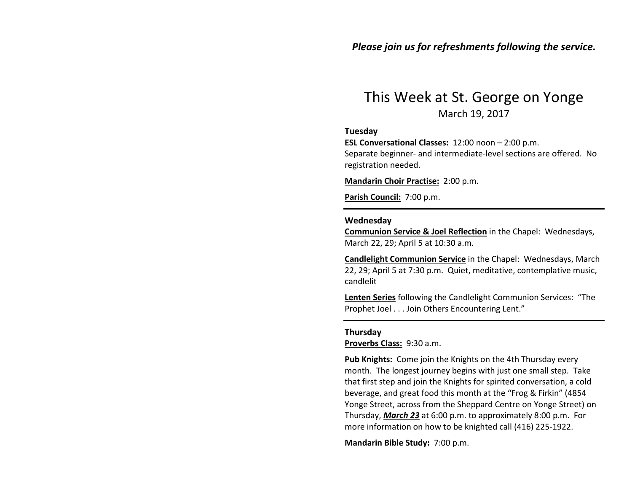## Please join us for refreshments following the service.

# This Week at St. George on Yonge March 19, 2017

#### Tuesday

ESL Conversational Classes: 12:00 noon – 2:00 p.m. Separate beginner- and intermediate-level sections are offered. No registration needed.

Mandarin Choir Practise: 2:00 p.m.

Parish Council: 7:00 p.m.

#### Wednesday

Communion Service & Joel Reflection in the Chapel: Wednesdays, March 22, 29; April 5 at 10:30 a.m.

Candlelight Communion Service in the Chapel: Wednesdays, March 22, 29; April 5 at 7:30 p.m. Quiet, meditative, contemplative music, candlelit

Lenten Series following the Candlelight Communion Services: "The Prophet Joel . . . Join Others Encountering Lent."

#### Thursday

Proverbs Class: 9:30 a.m.

Pub Knights: Come join the Knights on the 4th Thursday every month. The longest journey begins with just one small step. Take that first step and join the Knights for spirited conversation, a cold beverage, and great food this month at the "Frog & Firkin" (4854 Yonge Street, across from the Sheppard Centre on Yonge Street) on Thursday, March 23 at 6:00 p.m. to approximately 8:00 p.m. For more information on how to be knighted call (416) 225-1922.

Mandarin Bible Study: 7:00 p.m.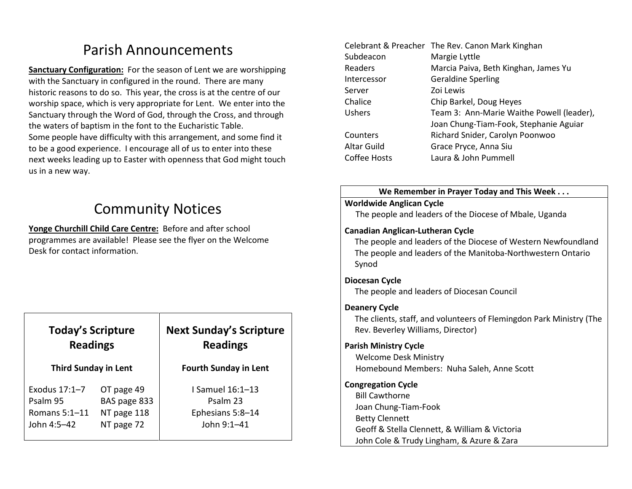# Parish Announcements

Sanctuary Configuration: For the season of Lent we are worshipping with the Sanctuary in configured in the round. There are many historic reasons to do so. This year, the cross is at the centre of our worship space, which is very appropriate for Lent. We enter into the Sanctuary through the Word of God, through the Cross, and through the waters of baptism in the font to the Eucharistic Table. Some people have difficulty with this arrangement, and some find it to be a good experience. I encourage all of us to enter into these next weeks leading up to Easter with openness that God might touch us in a new way.

# Community Notices

Yonge Churchill Child Care Centre: Before and after school programmes are available! Please see the flyer on the Welcome Desk for contact information.

| <b>Today's Scripture</b><br><b>Readings</b> |  |
|---------------------------------------------|--|
| <b>Third Sunday in Lent</b>                 |  |

| OT page 49   |
|--------------|
| BAS page 833 |
| NT page 118  |
| NT page 72   |
|              |

# Next Sunday's Scripture Readings

#### Fourth Sunday in Lent

I Samuel 16:1–13 Psalm 23 Ephesians 5:8–14 John 9:1–41

| Celebrant & Preacher The Rev. Canon Mark Kinghan |
|--------------------------------------------------|
| Margie Lyttle                                    |
| Marcia Paiva, Beth Kinghan, James Yu             |
| <b>Geraldine Sperling</b>                        |
| Zoi Lewis                                        |
| Chip Barkel, Doug Heyes                          |
| Team 3: Ann-Marie Waithe Powell (leader),        |
| Joan Chung-Tiam-Fook, Stephanie Aguiar           |
| Richard Snider, Carolyn Poonwoo                  |
| Grace Pryce, Anna Siu                            |
| Laura & John Pummell                             |
|                                                  |

#### We Remember in Prayer Today and This Week . . .

#### Worldwide Anglican Cycle

The people and leaders of the Diocese of Mbale, Uganda

### Canadian Anglican-Lutheran Cycle

The people and leaders of the Diocese of Western Newfoundland The people and leaders of the Manitoba-Northwestern Ontario Synod

#### Diocesan Cycle

The people and leaders of Diocesan Council

### Deanery Cycle

The clients, staff, and volunteers of Flemingdon Park Ministry (The Rev. Beverley Williams, Director)

## Parish Ministry Cycle

Welcome Desk Ministry Homebound Members: Nuha Saleh, Anne Scott

## Congregation Cycle

Bill Cawthorne Joan Chung-Tiam-Fook Betty Clennett Geoff & Stella Clennett, & William & Victoria John Cole & Trudy Lingham, & Azure & Zara